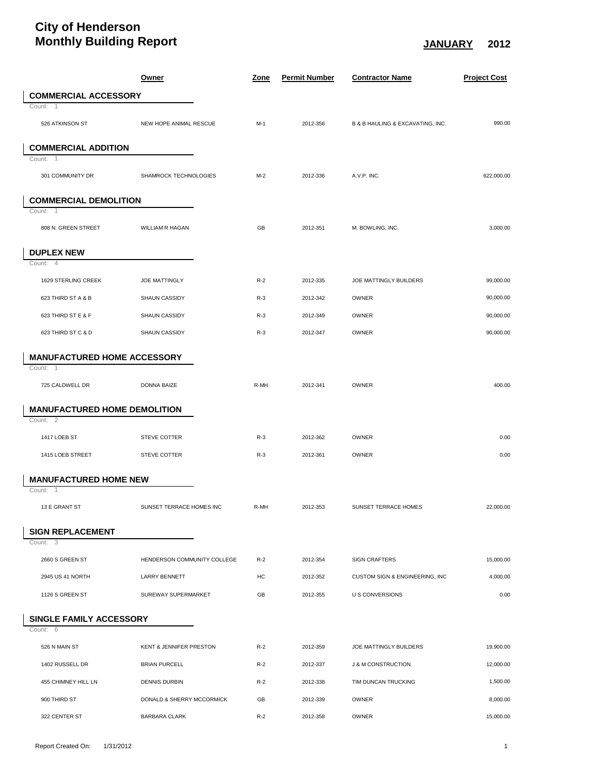## **City of Henderson Monthly Building Report JANUARY 2012**

|        |                                     | <u>Owner</u>                                      | <u>Zone</u> | <b>Permit Number</b> | <b>Contractor Name</b>           | <b>Project Cost</b>  |
|--------|-------------------------------------|---------------------------------------------------|-------------|----------------------|----------------------------------|----------------------|
|        | <b>COMMERCIAL ACCESSORY</b>         |                                                   |             |                      |                                  |                      |
|        | Count: 1                            |                                                   |             |                      |                                  |                      |
|        | 526 ATKINSON ST                     | NEW HOPE ANIMAL RESCUE                            | $M-1$       | 2012-356             | B & B HAULING & EXCAVATING, INC. | 990.00               |
|        | <b>COMMERCIAL ADDITION</b>          |                                                   |             |                      |                                  |                      |
| Count: |                                     |                                                   |             |                      |                                  |                      |
|        | 301 COMMUNITY DR                    | SHAMROCK TECHNOLOGIES                             | $M-2$       | 2012-336             | A.V.P. INC.                      | 622,000.00           |
|        | <b>COMMERCIAL DEMOLITION</b>        |                                                   |             |                      |                                  |                      |
| Count: | -1                                  |                                                   |             |                      |                                  |                      |
|        | 808 N. GREEN STREET                 | <b>WILLIAM R HAGAN</b>                            | GB          | 2012-351             | M. BOWLING, INC.                 | 3,000.00             |
|        | <b>DUPLEX NEW</b>                   |                                                   |             |                      |                                  |                      |
|        | Count: 4                            |                                                   |             |                      |                                  |                      |
|        | 1629 STERLING CREEK                 | <b>JOE MATTINGLY</b>                              | $R-2$       | 2012-335             | JOE MATTINGLY BUILDERS           | 99,000.00            |
|        | 623 THIRD ST A & B                  | <b>SHAUN CASSIDY</b>                              | $R-3$       | 2012-342             | OWNER                            | 90,000.00            |
|        | 623 THIRD ST E & F                  | SHAUN CASSIDY                                     | $R-3$       | 2012-349             | <b>OWNER</b>                     | 90,000.00            |
|        | 623 THIRD ST C & D                  | SHAUN CASSIDY                                     | $R-3$       | 2012-347             | <b>OWNER</b>                     | 90,000.00            |
|        | <b>MANUFACTURED HOME ACCESSORY</b>  |                                                   |             |                      |                                  |                      |
|        | Count: 1                            |                                                   |             |                      |                                  |                      |
|        | 725 CALDWELL DR                     | <b>DONNA BAIZE</b>                                | R-MH        | 2012-341             | OWNER                            | 400.00               |
|        | <b>MANUFACTURED HOME DEMOLITION</b> |                                                   |             |                      |                                  |                      |
|        | Count: 2                            |                                                   |             |                      |                                  |                      |
|        | 1417 LOEB ST                        | STEVE COTTER                                      | $R-3$       | 2012-362             | OWNER                            | 0.00                 |
|        | 1415 LOEB STREET                    | <b>STEVE COTTER</b>                               | $R-3$       | 2012-361             | OWNER                            | 0.00                 |
|        | <b>MANUFACTURED HOME NEW</b>        |                                                   |             |                      |                                  |                      |
|        | Count:<br>$\overline{1}$            |                                                   |             |                      |                                  |                      |
|        | 13 E GRANT ST                       | SUNSET TERRACE HOMES INC                          | R-MH        | 2012-353             | SUNSET TERRACE HOMES             | 22,000.00            |
|        | <b>SIGN REPLACEMENT</b>             |                                                   |             |                      |                                  |                      |
| Count: | 3                                   |                                                   |             |                      |                                  |                      |
|        |                                     |                                                   |             |                      |                                  |                      |
|        | 2660 S GREEN ST                     | HENDERSON COMMUNITY COLLEGE                       | $R-2$       | 2012-354             | <b>SIGN CRAFTERS</b>             | 15,000.00            |
|        | 2945 US 41 NORTH                    | <b>LARRY BENNETT</b>                              | НC          | 2012-352             | CUSTOM SIGN & ENGINEERING, INC   | 4,000.00             |
|        | 1126 S GREEN ST                     | SUREWAY SUPERMARKET                               | GB          | 2012-355             | <b>U S CONVERSIONS</b>           | 0.00                 |
|        | <b>SINGLE FAMILY ACCESSORY</b>      |                                                   |             |                      |                                  |                      |
|        | Count: 6                            |                                                   |             |                      |                                  |                      |
|        | 526 N MAIN ST                       | KENT & JENNIFER PRESTON                           | $R-2$       | 2012-359             | <b>JOE MATTINGLY BUILDERS</b>    | 19,900.00            |
|        | 1402 RUSSELL DR                     | <b>BRIAN PURCELL</b>                              | $R-2$       | 2012-337             | <b>J &amp; M CONSTRUCTION</b>    | 12,000.00            |
|        | 455 CHIMNEY HILL LN<br>900 THIRD ST | <b>DENNIS DURBIN</b><br>DONALD & SHERRY MCCORMICK | $R-2$<br>GB | 2012-338<br>2012-339 | TIM DUNCAN TRUCKING<br>OWNER     | 1,500.00<br>8,000.00 |